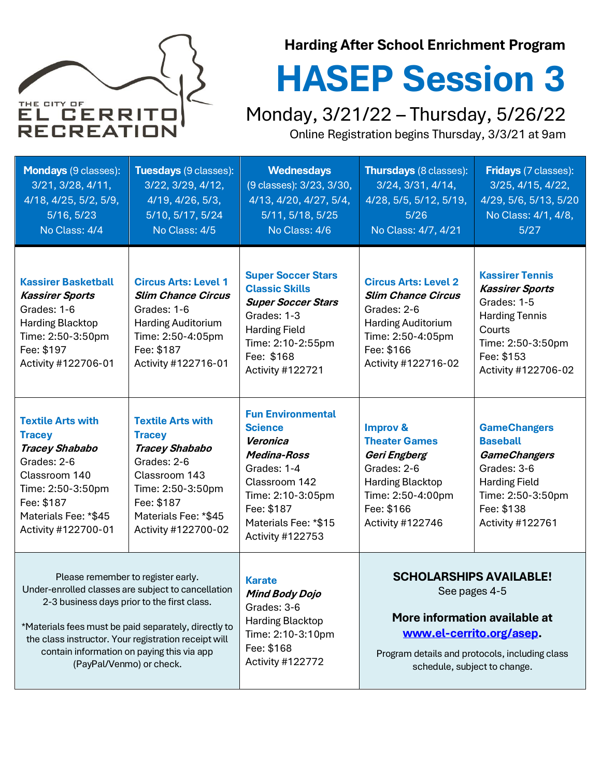

## **Harding After School Enrichment Program**

# **HASEP Session 3**

Monday, 3/21/22 – Thursday, 5/26/22 Online Registration begins Thursday, 3/3/21 at 9am

| <b>Mondays</b> (9 classes):<br>3/21, 3/28, 4/11,<br>4/18, 4/25, 5/2, 5/9,<br>5/16, 5/23<br>No Class: 4/4                                                                                                                                                                                                                          | Tuesdays (9 classes):<br>3/22, 3/29, 4/12,<br>4/19, 4/26, 5/3,<br>5/10, 5/17, 5/24<br>No Class: 4/5                                                                                  | <b>Wednesdays</b><br>(9 classes): 3/23, 3/30,<br>4/13, 4/20, 4/27, 5/4,<br>5/11, 5/18, 5/25<br>No Class: 4/6                                                                                | <b>Thursdays</b> (8 classes):<br>3/24, 3/31, 4/14,<br>4/28, 5/5, 5/12, 5/19,<br>5/26<br>No Class: 4/7, 4/21                                                                                    | <b>Fridays</b> (7 classes):<br>3/25, 4/15, 4/22,<br>4/29, 5/6, 5/13, 5/20<br>No Class: 4/1, 4/8,<br>$5/27$                                                   |
|-----------------------------------------------------------------------------------------------------------------------------------------------------------------------------------------------------------------------------------------------------------------------------------------------------------------------------------|--------------------------------------------------------------------------------------------------------------------------------------------------------------------------------------|---------------------------------------------------------------------------------------------------------------------------------------------------------------------------------------------|------------------------------------------------------------------------------------------------------------------------------------------------------------------------------------------------|--------------------------------------------------------------------------------------------------------------------------------------------------------------|
| <b>Kassirer Basketball</b><br><b>Kassirer Sports</b><br>Grades: 1-6<br><b>Harding Blacktop</b><br>Time: 2:50-3:50pm<br>Fee: \$197<br>Activity #122706-01                                                                                                                                                                          | <b>Circus Arts: Level 1</b><br><b>Slim Chance Circus</b><br>Grades: 1-6<br><b>Harding Auditorium</b><br>Time: 2:50-4:05pm<br>Fee: \$187<br>Activity #122716-01                       | <b>Super Soccer Stars</b><br><b>Classic Skills</b><br><b>Super Soccer Stars</b><br>Grades: 1-3<br><b>Harding Field</b><br>Time: 2:10-2:55pm<br>Fee: \$168<br>Activity #122721               | <b>Circus Arts: Level 2</b><br><b>Slim Chance Circus</b><br>Grades: 2-6<br><b>Harding Auditorium</b><br>Time: 2:50-4:05pm<br>Fee: \$166<br>Activity #122716-02                                 | <b>Kassirer Tennis</b><br><b>Kassirer Sports</b><br>Grades: 1-5<br><b>Harding Tennis</b><br>Courts<br>Time: 2:50-3:50pm<br>Fee: \$153<br>Activity #122706-02 |
| <b>Textile Arts with</b><br><b>Tracey</b><br><b>Tracey Shababo</b><br>Grades: 2-6<br>Classroom 140<br>Time: 2:50-3:50pm<br>Fee: \$187<br>Materials Fee: *\$45<br>Activity #122700-01                                                                                                                                              | <b>Textile Arts with</b><br><b>Tracey</b><br><b>Tracey Shababo</b><br>Grades: 2-6<br>Classroom 143<br>Time: 2:50-3:50pm<br>Fee: \$187<br>Materials Fee: *\$45<br>Activity #122700-02 | <b>Fun Environmental</b><br><b>Science</b><br>Veronica<br><b>Medina-Ross</b><br>Grades: 1-4<br>Classroom 142<br>Time: 2:10-3:05pm<br>Fee: \$187<br>Materials Fee: *\$15<br>Activity #122753 | <b>Improv &amp;</b><br><b>Theater Games</b><br>Geri Engberg<br>Grades: 2-6<br><b>Harding Blacktop</b><br>Time: 2:50-4:00pm<br>Fee: \$166<br>Activity #122746                                   | <b>GameChangers</b><br><b>Baseball</b><br><b>GameChangers</b><br>Grades: 3-6<br><b>Harding Field</b><br>Time: 2:50-3:50pm<br>Fee: \$138<br>Activity #122761  |
| Please remember to register early.<br>Under-enrolled classes are subject to cancellation<br>2-3 business days prior to the first class.<br>*Materials fees must be paid separately, directly to<br>the class instructor. Your registration receipt will<br>contain information on paying this via app<br>(PayPal/Venmo) or check. |                                                                                                                                                                                      | <b>Karate</b><br><b>Mind Body Dojo</b><br>Grades: 3-6<br><b>Harding Blacktop</b><br>Time: 2:10-3:10pm<br>Fee: \$168<br>Activity #122772                                                     | <b>SCHOLARSHIPS AVAILABLE!</b><br>See pages 4-5<br>More information available at<br>www.el-cerrito.org/asep.<br>Program details and protocols, including class<br>schedule, subject to change. |                                                                                                                                                              |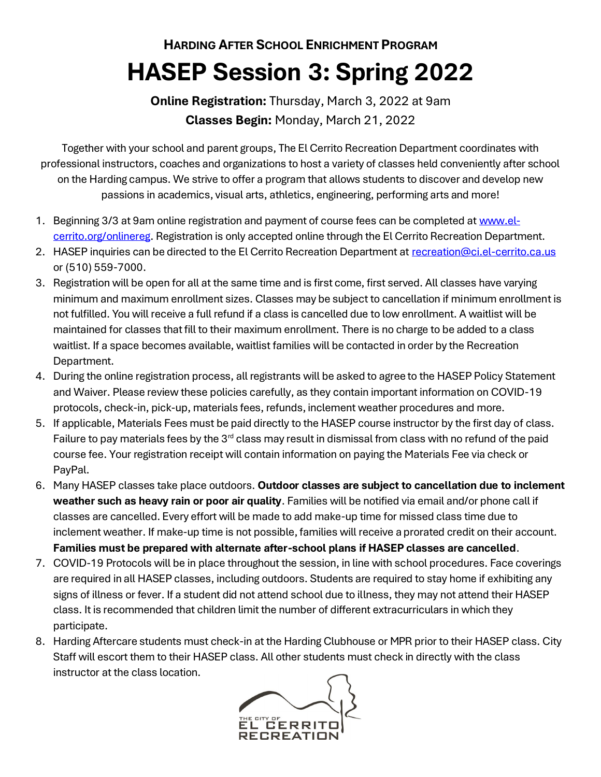# **HARDING AFTER SCHOOL ENRICHMENT PROGRAM HASEP Session 3: Spring 2022**

**Online Registration:** Thursday, March 3, 2022 at 9am **Classes Begin:** Monday, March 21, 2022

Together with your school and parent groups, The El Cerrito Recreation Department coordinates with professional instructors, coaches and organizations to host a variety of classes held conveniently after school on the Harding campus. We strive to offer a program that allows students to discover and develop new passions in academics, visual arts, athletics, engineering, performing arts and more!

- 1. Beginning 3/3 at 9am online registration and payment of course fees can be completed a[t www.el](http://www.el-cerrito.org/onlinereg)[cerrito.org/onlinereg.](http://www.el-cerrito.org/onlinereg) Registration is only accepted online through the El Cerrito Recreation Department.
- 2. HASEP inquiries can be directed to the El Cerrito Recreation Department at [recreation@ci.el-cerrito.ca.us](mailto:recreation@ci.el-cerrito.ca.us) or (510) 559-7000.
- 3. Registration will be open for all at the same time and is first come, first served. All classes have varying minimum and maximum enrollment sizes. Classes may be subject to cancellation if minimum enrollment is not fulfilled. You will receive a full refund if a class is cancelled due to low enrollment. A waitlist will be maintained for classes that fill to their maximum enrollment. There is no charge to be added to a class waitlist. If a space becomes available, waitlist families will be contacted in order by the Recreation Department.
- 4. During the online registration process, all registrants will be asked to agree to the HASEP Policy Statement and Waiver. Please review these policies carefully, as they contain important information on COVID-19 protocols, check-in, pick-up, materials fees, refunds, inclement weather procedures and more.
- 5. If applicable, Materials Fees must be paid directly to the HASEP course instructor by the first day of class. Failure to pay materials fees by the  $3<sup>rd</sup>$  class may result in dismissal from class with no refund of the paid course fee. Your registration receipt will contain information on paying the Materials Fee via check or PayPal.
- 6. Many HASEP classes take place outdoors. **Outdoor classes are subject to cancellation due to inclement weather such as heavy rain or poor air quality**. Families will be notified via email and/or phone call if classes are cancelled. Every effort will be made to add make-up time for missed class time due to inclement weather. If make-up time is not possible, families will receive a prorated credit on their account. **Families must be prepared with alternate after-school plans if HASEP classes are cancelled**.
- 7. COVID-19 Protocols will be in place throughout the session, in line with school procedures. Face coverings are required in all HASEP classes, including outdoors. Students are required to stay home if exhibiting any signs of illness or fever. If a student did not attend school due to illness, they may not attend their HASEP class. It is recommended that children limit the number of different extracurriculars in which they participate.
- 8. Harding Aftercare students must check-in at the Harding Clubhouse or MPR prior to their HASEP class. City Staff will escort them to their HASEP class. All other students must check in directly with the class instructor at the class location.

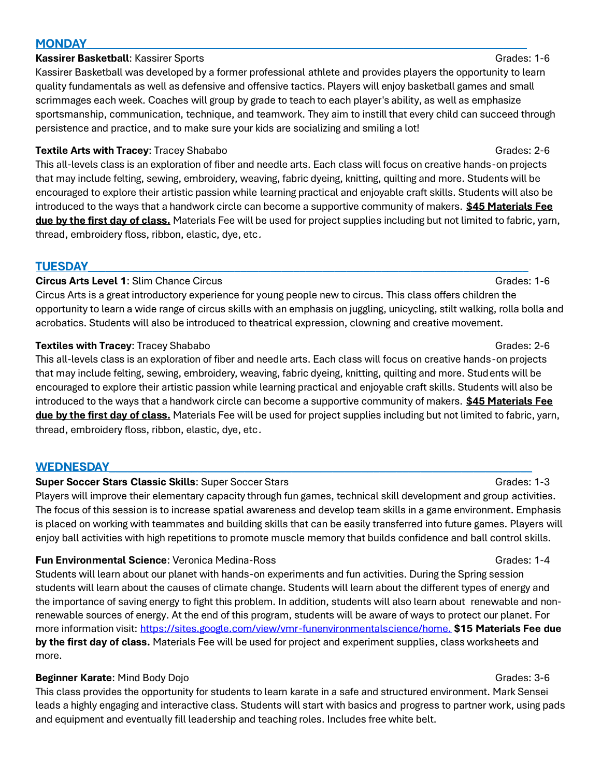### **MONDAY\_\_\_\_\_\_\_\_\_\_\_\_\_\_\_\_\_\_\_\_\_\_\_\_\_\_\_\_\_\_\_\_\_\_\_\_\_\_\_\_\_\_\_\_\_\_\_\_\_\_\_\_\_\_\_\_\_\_\_\_\_\_\_\_\_\_\_\_\_\_\_\_\_\_\_**

### **Kassirer Basketball**: Kassirer Sports Grades: 1-6

Kassirer Basketball was developed by a former professional athlete and provides players the opportunity to learn quality fundamentals as well as defensive and offensive tactics. Players will enjoy basketball games and small scrimmages each week. Coaches will group by grade to teach to each player's ability, as well as emphasize sportsmanship, communication, technique, and teamwork. They aim to instill that every child can succeed through persistence and practice, and to make sure your kids are socializing and smiling a lot!

### **Textile Arts with Tracey**: Tracey Shababo Grades: 2-6

This all-levels class is an exploration of fiber and needle arts. Each class will focus on creative hands-on projects that may include felting, sewing, embroidery, weaving, fabric dyeing, knitting, quilting and more. Students will be encouraged to explore their artistic passion while learning practical and enjoyable craft skills. Students will also be introduced to the ways that a handwork circle can become a supportive community of makers. **\$45 Materials Fee due by the first day of class.** Materials Fee will be used for project supplies including but not limited to fabric, yarn, thread, embroidery floss, ribbon, elastic, dye, etc.

### **TUESDAY\_\_\_\_\_\_\_\_\_\_\_\_\_\_\_\_\_\_\_\_\_\_\_\_\_\_\_\_\_\_\_\_\_\_\_\_\_\_\_\_\_\_\_\_\_\_\_\_\_\_\_\_\_\_\_\_\_\_\_\_\_\_\_\_\_\_\_\_\_\_\_\_\_\_\_**

### **Circus Arts Level 1:** Slim Chance Circus Grades: 1-6

Circus Arts is a great introductory experience for young people new to circus. This class offers children the opportunity to learn a wide range of circus skills with an emphasis on juggling, unicycling, stilt walking, rolla bolla and acrobatics. Students will also be introduced to theatrical expression, clowning and creative movement.

### **Textiles with Tracey**: Tracey Shababo Grades: 2-6

This all-levels class is an exploration of fiber and needle arts. Each class will focus on creative hands-on projects that may include felting, sewing, embroidery, weaving, fabric dyeing, knitting, quilting and more. Students will be encouraged to explore their artistic passion while learning practical and enjoyable craft skills. Students will also be introduced to the ways that a handwork circle can become a supportive community of makers. **\$45 Materials Fee due by the first day of class.** Materials Fee will be used for project supplies including but not limited to fabric, yarn, thread, embroidery floss, ribbon, elastic, dye, etc.

### WEDNESDAY\_

### **Super Soccer Stars Classic Skills**: Super Soccer Stars Grades: 1-3 Grades: 1-3

Players will improve their elementary capacity through fun games, technical skill development and group activities. The focus of this session is to increase spatial awareness and develop team skills in a game environment. Emphasis is placed on working with teammates and building skills that can be easily transferred into future games. Players will enjoy ball activities with high repetitions to promote muscle memory that builds confidence and ball control skills.

### **Fun Environmental Science:** Veronica Medina-Ross Grades: 1-4

Students will learn about our planet with hands-on experiments and fun activities. During the Spring session students will learn about the causes of climate change. Students will learn about the different types of energy and the importance of saving energy to fight this problem. In addition, students will also learn about renewable and nonrenewable sources of energy. At the end of this program, students will be aware of ways to protect our planet. For more information visit[: https://sites.google.com/view/vmr-funenvironmentalscience/home.](https://sites.google.com/view/vmr-funenvironmentalscience/home.) **\$15 Materials Fee due by the first day of class.** Materials Fee will be used for project and experiment supplies, class worksheets and more.

### **Beginner Karate**: Mind Body Dojo Grades: 3-6

This class provides the opportunity for students to learn karate in a safe and structured environment. Mark Sensei leads a highly engaging and interactive class. Students will start with basics and progress to partner work, using pads and equipment and eventually fill leadership and teaching roles. Includes free white belt.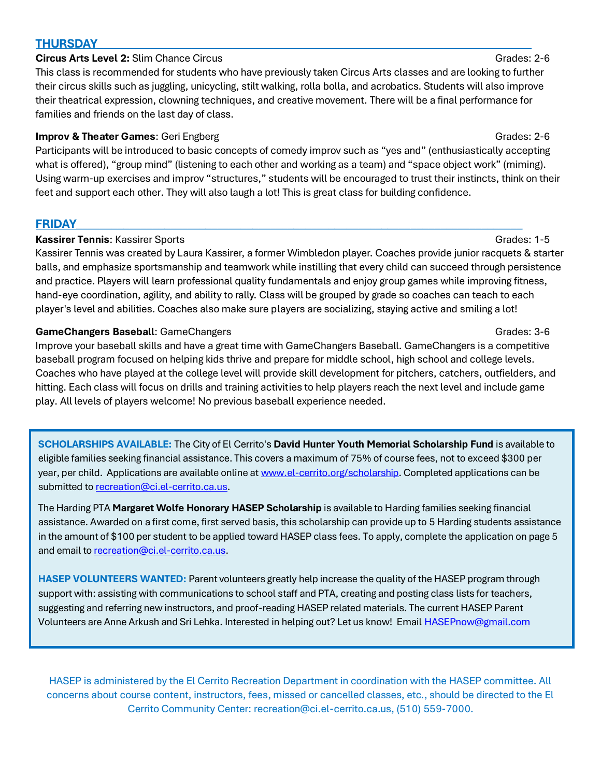### **THURSDAY\_\_\_\_\_\_\_\_\_\_\_\_\_\_\_\_\_\_\_\_\_\_\_\_\_\_\_\_\_\_\_\_\_\_\_\_\_\_\_\_\_\_\_\_\_\_\_\_\_\_\_\_\_\_\_\_\_\_\_\_\_\_\_\_\_\_\_\_\_\_\_\_\_\_**

### **Circus Arts Level 2:** Slim Chance Circus Grades: 2-6

This class is recommended for students who have previously taken Circus Arts classes and are looking to further their circus skills such as juggling, unicycling, stilt walking, rolla bolla, and acrobatics. Students will also improve their theatrical expression, clowning techniques, and creative movement. There will be a final performance for families and friends on the last day of class.

### **Improv & Theater Games:** Geri Engberg Grades: 2-6

Participants will be introduced to basic concepts of comedy improv such as "yes and" (enthusiastically accepting what is offered), "group mind" (listening to each other and working as a team) and "space object work" (miming). Using warm-up exercises and improv "structures," students will be encouraged to trust their instincts, think on their feet and support each other. They will also laugh a lot! This is great class for building confidence.

### **FRIDAY\_\_\_\_\_\_\_\_\_\_\_\_\_\_\_\_\_\_\_\_\_\_\_\_\_\_\_\_\_\_\_\_\_\_\_\_\_\_\_\_\_\_\_\_\_\_\_\_\_\_\_\_\_\_\_\_\_\_\_\_\_\_\_\_\_\_\_\_\_\_\_\_\_\_\_\_**

### **Kassirer Tennis:** Kassirer Sports Grades: 1-5

Kassirer Tennis was created by Laura Kassirer, a former Wimbledon player. Coaches provide junior racquets & starter balls, and emphasize sportsmanship and teamwork while instilling that every child can succeed through persistence and practice. Players will learn professional quality fundamentals and enjoy group games while improving fitness, hand-eye coordination, agility, and ability to rally. Class will be grouped by grade so coaches can teach to each player's level and abilities. Coaches also make sure players are socializing, staying active and smiling a lot!

### **GameChangers Baseball:** GameChangers **Grades: 3-6** CameChangers Grades: 3-6

Improve your baseball skills and have a great time with GameChangers Baseball. GameChangers is a competitive baseball program focused on helping kids thrive and prepare for middle school, high school and college levels. Coaches who have played at the college level will provide skill development for pitchers, catchers, outfielders, and hitting. Each class will focus on drills and training activities to help players reach the next level and include game play. All levels of players welcome! No previous baseball experience needed.

**SCHOLARSHIPS AVAILABLE:** The City of El Cerrito's **David Hunter Youth Memorial Scholarship Fund** is available to eligible families seeking financial assistance. This covers a maximum of 75% of course fees, not to exceed \$300 per year, per child. Applications are available online at [www.el-cerrito.org/scholarship.](http://www.el-cerrito.org/scholarship) Completed applications can be submitted to [recreation@ci.el-cerrito.ca.us.](mailto:recreation@ci.el-cerrito.ca.us)

The Harding PTA **Margaret Wolfe Honorary HASEP Scholarship** is available to Harding families seeking financial assistance. Awarded on a first come, first served basis, this scholarship can provide up to 5 Harding students assistance in the amount of \$100 per student to be applied toward HASEP class fees. To apply, complete the application on page 5 and email to [recreation@ci.el-cerrito.ca.us.](mailto:recreation@ci.el-cerrito.ca.us)

**HASEP VOLUNTEERS WANTED:** Parent volunteers greatly help increase the quality of the HASEP program through support with: assisting with communications to school staff and PTA, creating and posting class lists for teachers, suggesting and referring new instructors, and proof-reading HASEP related materials. The current HASEP Parent Volunteers are Anne Arkush and Sri Lehka. Interested in helping out? Let us know! Email [HASEPnow@gmail.com](mailto:HASEPnow@gmail.com)

HASEP is administered by the El Cerrito Recreation Department in coordination with the HASEP committee. All concerns about course content, instructors, fees, missed or cancelled classes, etc., should be directed to the El Cerrito Community Center: recreation@ci.el-cerrito.ca.us, (510) 559-7000.